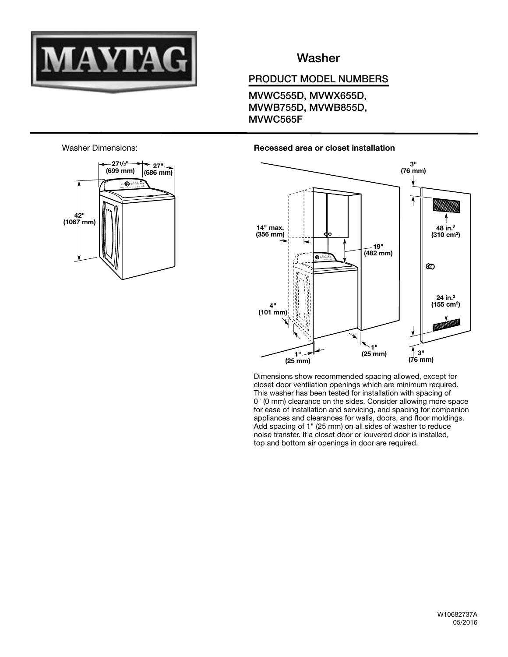

## **Washer**

## PRODUCT MODEL NUMBERS

MVWC555D, MVWX655D, MVWB755D, MVWB855D, MVWC565F





#### Recessed area or closet installation



Dimensions show recommended spacing allowed, except for closet door ventilation openings which are minimum required. This washer has been tested for installation with spacing of 0" (0 mm) clearance on the sides. Consider allowing more space for ease of installation and servicing, and spacing for companion appliances and clearances for walls, doors, and floor moldings. Add spacing of 1" (25 mm) on all sides of washer to reduce noise transfer. If a closet door or louvered door is installed, top and bottom air openings in door are required.